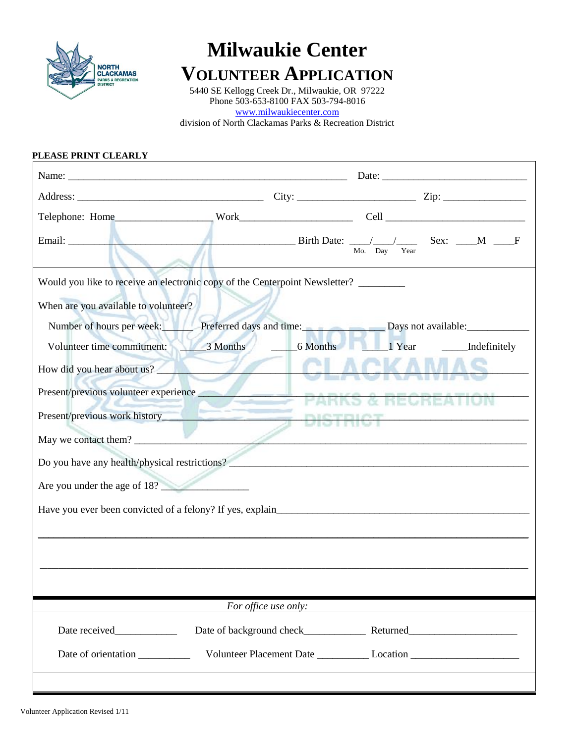

## **Milwaukie Center**

### **VOLUNTEER APPLICATION**

5440 SE Kellogg Creek Dr., Milwaukie, OR 97222 Phone 503-653-8100 FAX 503-794-8016 [www.milwaukiecenter.com](http://www.milwaukiecenter.com/)

division of North Clackamas Parks & Recreation District

# **PLEASE PRINT CLEARLY** Name: \_\_\_\_\_\_\_\_\_\_\_\_\_\_\_\_\_\_\_\_\_\_\_\_\_\_\_\_\_\_\_\_\_\_\_\_\_\_\_\_\_\_\_\_\_\_\_\_\_\_\_\_\_\_ Date: \_\_\_\_\_\_\_\_\_\_\_\_\_\_\_\_\_\_\_\_\_\_\_\_\_\_\_\_ Address: \_\_\_\_\_\_\_\_\_\_\_\_\_\_\_\_\_\_\_\_\_\_\_\_\_\_\_\_\_\_\_\_\_\_\_\_ City: \_\_\_\_\_\_\_\_\_\_\_\_\_\_\_\_\_\_\_\_\_\_\_ Zip: \_\_\_\_\_\_\_\_\_\_\_\_\_\_\_\_ Telephone: Home\_\_\_\_\_\_\_\_\_\_\_\_\_\_\_\_\_\_\_ Work\_\_\_\_\_\_\_\_\_\_\_\_\_\_\_\_\_\_\_\_\_\_ Cell \_\_\_\_\_\_\_\_\_\_\_\_\_\_\_\_\_\_\_\_\_\_\_\_\_\_\_ Email: \_\_\_\_\_\_\_\_\_\_\_\_\_\_\_\_\_\_\_\_\_\_\_\_\_\_\_\_\_\_\_\_\_\_\_\_\_\_\_\_\_\_\_\_ Birth Date: \_\_\_\_/\_\_\_\_/\_\_\_\_ Sex: \_\_\_\_M \_\_\_\_F Mo. Day Year Would you like to receive an electronic copy of the Centerpoint Newsletter? \_\_\_\_\_\_\_\_ When are you available to volunteer? Number of hours per week: Preferred days and time: Days not available: Volunteer time commitment: 3 Months \_\_\_\_\_6 Months \_\_\_\_\_1 Year \_\_\_\_\_\_Indefinitely How did you hear about us? Present/previous volunteer experience \_\_\_\_\_\_\_\_\_\_\_\_\_\_\_\_\_\_\_\_\_\_\_\_\_\_\_\_\_\_\_\_\_\_\_\_\_\_\_\_\_\_\_\_\_\_\_\_\_\_\_\_\_\_\_\_\_\_\_\_\_\_\_\_ Present/previous work history\_\_\_\_\_\_\_\_\_\_\_\_\_\_\_\_\_\_\_\_\_\_\_\_\_\_\_\_\_\_\_\_\_\_\_\_\_\_\_\_\_\_\_\_\_\_\_\_\_\_\_\_\_\_\_\_\_\_\_\_\_\_\_\_\_\_\_\_\_\_\_ May we contact them? Do you have any health/physical restrictions? Are you under the age of  $18$ ? Have you ever been convicted of a felony? If yes, explain\_\_\_\_\_\_\_\_\_\_\_\_\_\_\_\_\_\_\_\_\_\_\_\_\_\_\_\_\_\_\_\_\_\_\_\_\_\_\_\_\_\_\_\_\_\_\_\_\_ \_\_\_\_\_\_\_\_\_\_\_\_\_\_\_\_\_\_\_\_\_\_\_\_\_\_\_\_\_\_\_\_\_\_\_\_\_\_\_\_\_\_\_\_\_\_\_\_\_\_\_\_\_\_\_\_\_\_\_\_\_\_\_\_\_\_\_\_\_\_\_\_\_\_\_\_\_\_\_\_\_\_\_\_\_\_\_\_\_\_\_\_\_\_\_ **\_\_\_\_\_\_\_\_\_\_\_\_\_\_\_\_\_\_\_\_\_\_\_\_\_\_\_\_\_\_\_\_\_\_\_\_\_\_\_\_\_\_\_\_\_\_\_\_\_\_\_\_\_\_\_\_\_\_\_\_\_\_\_\_\_\_\_\_\_\_\_\_\_\_\_\_\_\_\_\_\_\_\_\_\_\_\_\_\_\_\_\_\_\_\_\_\_\_\_\_\_\_\_\_\_\_\_\_\_\_\_\_\_\_\_\_\_\_\_\_\_\_\_\_\_\_\_\_\_\_**

*For office use only:*

| Date received       | Date of background check | Returned |
|---------------------|--------------------------|----------|
| Date of orientation | Volunteer Placement Date | Location |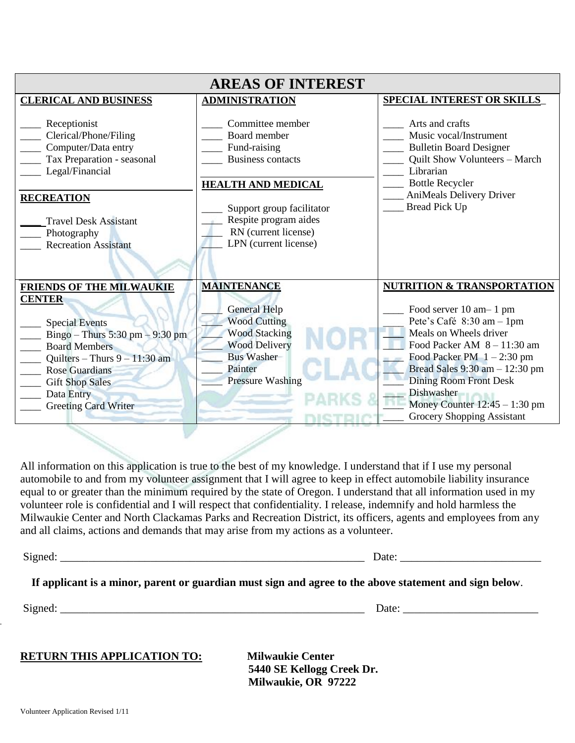| <b>AREAS OF INTEREST</b>                                                                                                                                                                                                             |                                                                                                                                                                                                                  |                                                                                                                                                                                                                                                                                                           |  |  |
|--------------------------------------------------------------------------------------------------------------------------------------------------------------------------------------------------------------------------------------|------------------------------------------------------------------------------------------------------------------------------------------------------------------------------------------------------------------|-----------------------------------------------------------------------------------------------------------------------------------------------------------------------------------------------------------------------------------------------------------------------------------------------------------|--|--|
| <b>CLERICAL AND BUSINESS</b>                                                                                                                                                                                                         | <b>ADMINISTRATION</b>                                                                                                                                                                                            | <b>SPECIAL INTEREST OR SKILLS</b>                                                                                                                                                                                                                                                                         |  |  |
| Receptionist<br>Clerical/Phone/Filing<br>Computer/Data entry<br>Tax Preparation - seasonal<br>Legal/Financial<br><b>RECREATION</b><br><b>Travel Desk Assistant</b><br>Photography<br><b>Recreation Assistant</b>                     | Committee member<br>Board member<br>Fund-raising<br><b>Business contacts</b><br><b>HEALTH AND MEDICAL</b><br>Support group facilitator<br>Respite program aides<br>RN (current license)<br>LPN (current license) | Arts and crafts<br>Music vocal/Instrument<br><b>Bulletin Board Designer</b><br>Quilt Show Volunteers - March<br>Librarian<br><b>Bottle Recycler</b><br><b>AniMeals Delivery Driver</b><br><b>Bread Pick Up</b>                                                                                            |  |  |
| <b>FRIENDS OF THE MILWAUKIE</b>                                                                                                                                                                                                      | <b>MAINTENANCE</b>                                                                                                                                                                                               | <b>NUTRITION &amp; TRANSPORTATION</b>                                                                                                                                                                                                                                                                     |  |  |
| <b>CENTER</b><br><b>Special Events</b><br>Bingo – Thurs 5:30 pm – 9:30 pm<br><b>Board Members</b><br>Quilters – Thurs $9 - 11:30$ am<br><b>Rose Guardians</b><br><b>Gift Shop Sales</b><br>Data Entry<br><b>Greeting Card Writer</b> | <b>General Help</b><br><b>Wood Cutting</b><br><b>Wood Stacking</b><br><b>Wood Delivery</b><br><b>Bus Washer</b><br>Painter<br><b>Pressure Washing</b>                                                            | Food server 10 am - 1 pm<br>Pete's Café 8:30 am - 1pm<br>Meals on Wheels driver<br>Food Packer AM $8 - 11:30$ am<br>Food Packer PM $1 - 2:30$ pm<br>Bread Sales 9:30 am - 12:30 pm<br><b>Dining Room Front Desk</b><br>Dishwasher<br>Money Counter $12:45 - 1:30$ pm<br><b>Grocery Shopping Assistant</b> |  |  |

All information on this application is true to the best of my knowledge. I understand that if I use my personal automobile to and from my volunteer assignment that I will agree to keep in effect automobile liability insurance equal to or greater than the minimum required by the state of Oregon. I understand that all information used in my volunteer role is confidential and I will respect that confidentiality. I release, indemnify and hold harmless the Milwaukie Center and North Clackamas Parks and Recreation District, its officers, agents and employees from any and all claims, actions and demands that may arise from my actions as a volunteer.

| Signed: |  |
|---------|--|
|         |  |

| Date:<br>$19$ ned |        |  |
|-------------------|--------|--|
|                   | $\sim$ |  |
|                   |        |  |

 **If applicant is a minor, parent or guardian must sign and agree to the above statement and sign below**.

 $\overline{\phantom{a}}$ 

Signed: \_\_\_\_\_\_\_\_\_\_\_\_\_\_\_\_\_\_\_\_\_\_\_\_\_\_\_\_\_\_\_\_\_\_\_\_\_\_\_\_\_\_\_\_\_\_\_\_\_\_\_\_\_\_ Date: \_\_\_\_\_\_\_\_\_\_\_\_\_\_\_\_\_\_\_\_\_\_\_\_

#### **RETURN THIS APPLICATION TO:** Milwaukie Center

 **5440 SE Kellogg Creek Dr. Milwaukie, OR 97222**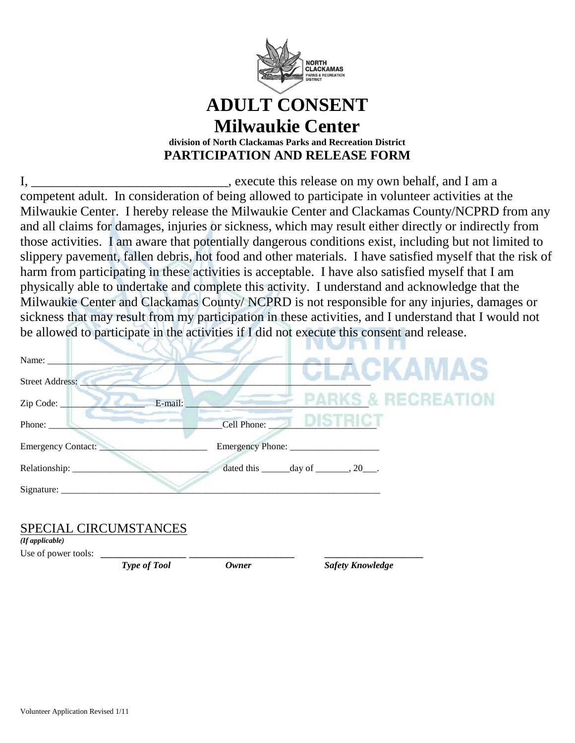

#### **ADULT CONSENT Milwaukie Center division of North Clackamas Parks and Recreation District PARTICIPATION AND RELEASE FORM**

I, \_\_\_\_\_\_\_\_\_\_\_\_\_\_\_\_\_\_\_\_\_\_\_\_\_\_\_\_\_, execute this release on my own behalf, and I am a competent adult. In consideration of being allowed to participate in volunteer activities at the Milwaukie Center. I hereby release the Milwaukie Center and Clackamas County/NCPRD from any and all claims for damages, injuries or sickness, which may result either directly or indirectly from those activities. I am aware that potentially dangerous conditions exist, including but not limited to slippery pavement, fallen debris, hot food and other materials. I have satisfied myself that the risk of harm from participating in these activities is acceptable. I have also satisfied myself that I am physically able to undertake and complete this activity. I understand and acknowledge that the Milwaukie Center and Clackamas County/ NCPRD is not responsible for any injuries, damages or sickness that may result from my participation in these activities, and I understand that I would not be allowed to participate in the activities if I did not execute this consent and release.

| Name: $\_\_$           |                                                            |
|------------------------|------------------------------------------------------------|
| <b>Street Address:</b> | CLACKAMAS                                                  |
| E-mail:<br>Zip Code:   | <b>PARKS &amp; RECREATION</b>                              |
| Phone:                 | $\sigma$ district<br>Cell Phone:                           |
| Emergency Contact:     |                                                            |
| Relationship: ________ | dated this $\_\_\_\_\$ day of $\_\_\_\_\$ , 20 $\_\_\_\$ . |
| $Sigma$ :              |                                                            |
|                        |                                                            |

#### SPECIAL CIRCUMSTANCES

*(If applicable)*

Use of power tools:

*Type of Tool Owner Safety Knowledge*